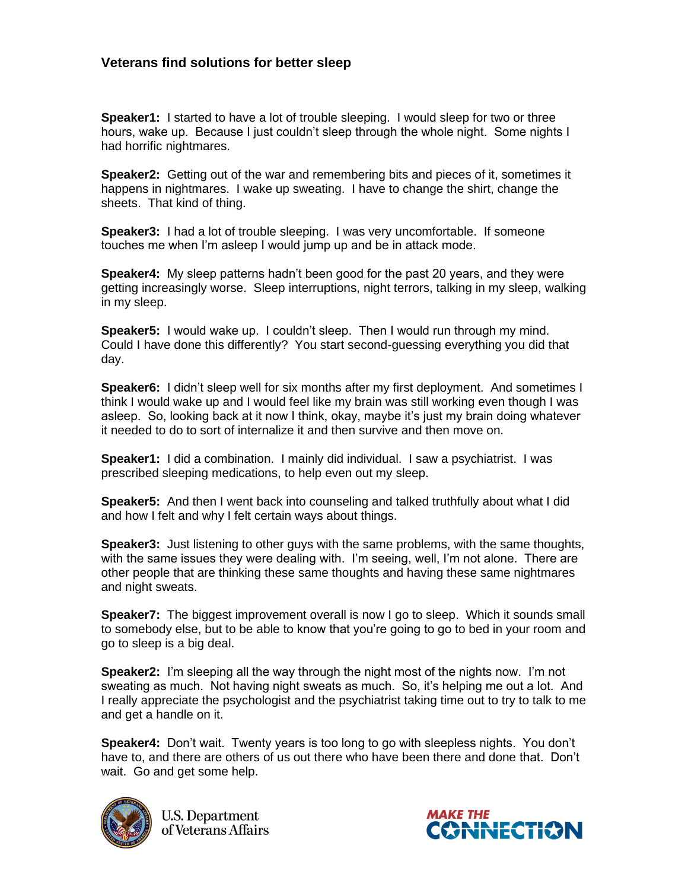## **Veterans find solutions for better sleep**

**Speaker1:** I started to have a lot of trouble sleeping. I would sleep for two or three hours, wake up. Because I just couldn't sleep through the whole night. Some nights I had horrific nightmares.

**Speaker2:** Getting out of the war and remembering bits and pieces of it, sometimes it happens in nightmares. I wake up sweating. I have to change the shirt, change the sheets. That kind of thing.

**Speaker3:** I had a lot of trouble sleeping. I was very uncomfortable. If someone touches me when I'm asleep I would jump up and be in attack mode.

**Speaker4:** My sleep patterns hadn't been good for the past 20 years, and they were getting increasingly worse. Sleep interruptions, night terrors, talking in my sleep, walking in my sleep.

**Speaker5:** I would wake up. I couldn't sleep. Then I would run through my mind. Could I have done this differently? You start second-guessing everything you did that day.

**Speaker6:** I didn't sleep well for six months after my first deployment. And sometimes I think I would wake up and I would feel like my brain was still working even though I was asleep. So, looking back at it now I think, okay, maybe it's just my brain doing whatever it needed to do to sort of internalize it and then survive and then move on.

**Speaker1:** I did a combination. I mainly did individual. I saw a psychiatrist. I was prescribed sleeping medications, to help even out my sleep.

**Speaker5:** And then I went back into counseling and talked truthfully about what I did and how I felt and why I felt certain ways about things.

**Speaker3:** Just listening to other guys with the same problems, with the same thoughts, with the same issues they were dealing with. I'm seeing, well, I'm not alone. There are other people that are thinking these same thoughts and having these same nightmares and night sweats.

**Speaker7:** The biggest improvement overall is now I go to sleep. Which it sounds small to somebody else, but to be able to know that you're going to go to bed in your room and go to sleep is a big deal.

**Speaker2:** I'm sleeping all the way through the night most of the nights now. I'm not sweating as much. Not having night sweats as much. So, it's helping me out a lot. And I really appreciate the psychologist and the psychiatrist taking time out to try to talk to me and get a handle on it.

**Speaker4:** Don't wait. Twenty years is too long to go with sleepless nights. You don't have to, and there are others of us out there who have been there and done that. Don't wait. Go and get some help.



**U.S. Department** of Veterans Affairs